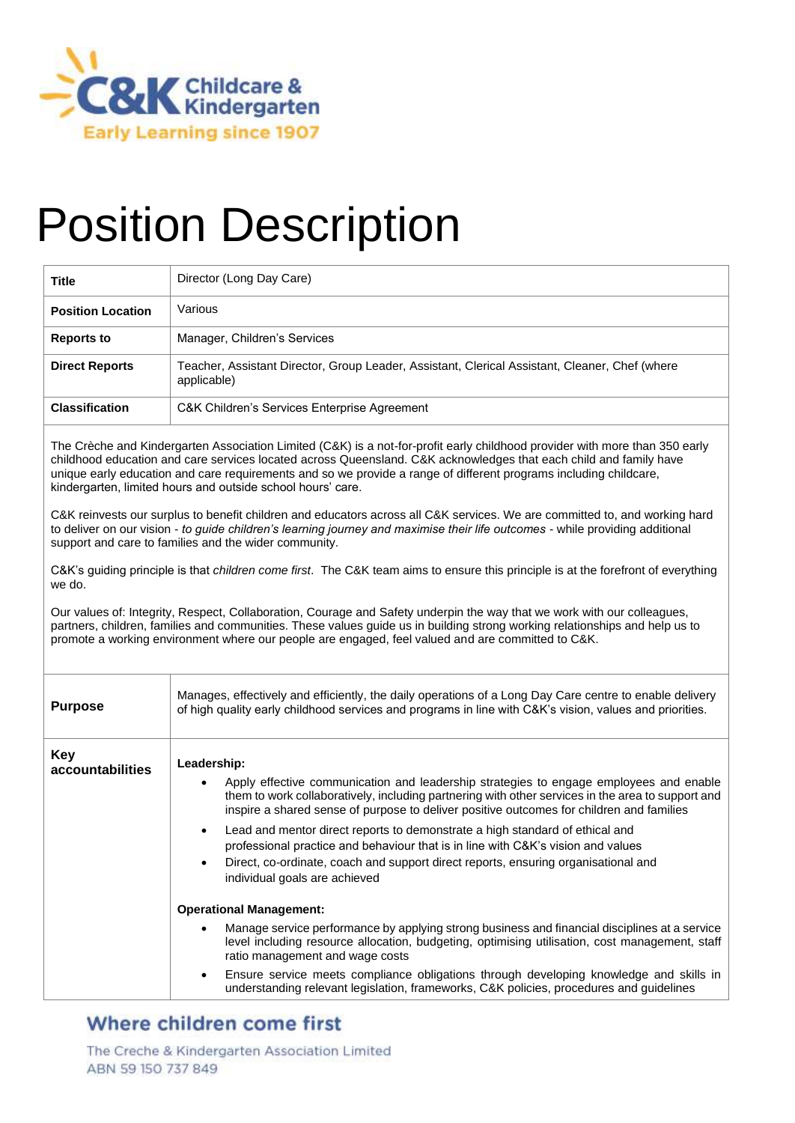

# Position Description

| <b>Title</b>             | Director (Long Day Care)                                                                                      |  |
|--------------------------|---------------------------------------------------------------------------------------------------------------|--|
| <b>Position Location</b> | Various                                                                                                       |  |
| <b>Reports to</b>        | Manager, Children's Services                                                                                  |  |
| <b>Direct Reports</b>    | Teacher, Assistant Director, Group Leader, Assistant, Clerical Assistant, Cleaner, Chef (where<br>applicable) |  |
| <b>Classification</b>    | C&K Children's Services Enterprise Agreement                                                                  |  |

The Crèche and Kindergarten Association Limited (C&K) is a not-for-profit early childhood provider with more than 350 early childhood education and care services located across Queensland. C&K acknowledges that each child and family have unique early education and care requirements and so we provide a range of different programs including childcare, kindergarten, limited hours and outside school hours' care.

C&K reinvests our surplus to benefit children and educators across all C&K services. We are committed to, and working hard to deliver on our vision - *to guide children's learning journey and maximise their life outcomes* - while providing additional support and care to families and the wider community.

C&K's guiding principle is that *children come first*. The C&K team aims to ensure this principle is at the forefront of everything we do.

Our values of: Integrity, Respect, Collaboration, Courage and Safety underpin the way that we work with our colleagues, partners, children, families and communities. These values guide us in building strong working relationships and help us to promote a working environment where our people are engaged, feel valued and are committed to C&K.

| <b>Purpose</b>                 | Manages, effectively and efficiently, the daily operations of a Long Day Care centre to enable delivery<br>of high quality early childhood services and programs in line with C&K's vision, values and priorities.                                                                                                                                                                                                                                                                                                                                                                                                                       |
|--------------------------------|------------------------------------------------------------------------------------------------------------------------------------------------------------------------------------------------------------------------------------------------------------------------------------------------------------------------------------------------------------------------------------------------------------------------------------------------------------------------------------------------------------------------------------------------------------------------------------------------------------------------------------------|
| <b>Key</b><br>accountabilities | Leadership:<br>Apply effective communication and leadership strategies to engage employees and enable<br>$\bullet$<br>them to work collaboratively, including partnering with other services in the area to support and<br>inspire a shared sense of purpose to deliver positive outcomes for children and families<br>Lead and mentor direct reports to demonstrate a high standard of ethical and<br>$\bullet$<br>professional practice and behaviour that is in line with C&K's vision and values<br>Direct, co-ordinate, coach and support direct reports, ensuring organisational and<br>$\bullet$<br>individual goals are achieved |
|                                | <b>Operational Management:</b><br>Manage service performance by applying strong business and financial disciplines at a service<br>$\bullet$<br>level including resource allocation, budgeting, optimising utilisation, cost management, staff<br>ratio management and wage costs<br>Ensure service meets compliance obligations through developing knowledge and skills in<br>$\bullet$<br>understanding relevant legislation, frameworks, C&K policies, procedures and guidelines                                                                                                                                                      |

## Where children come first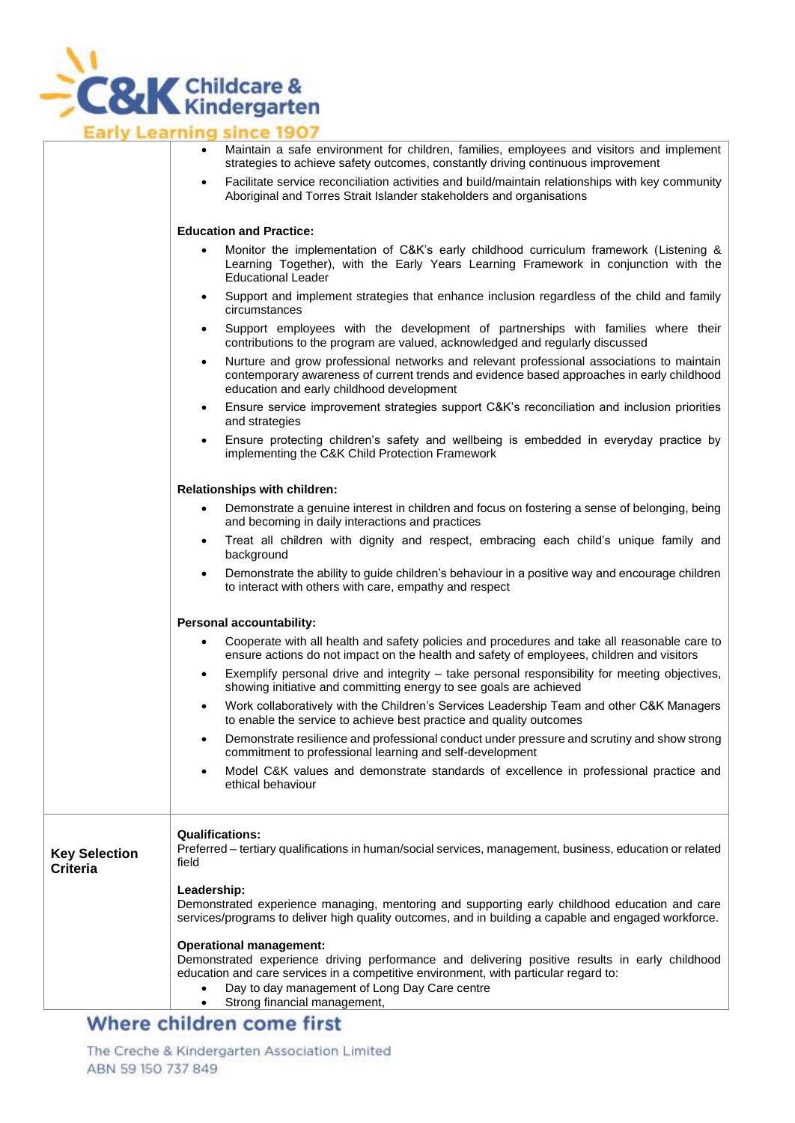

|                                         | Maintain a safe environment for children, families, employees and visitors and implement<br>strategies to achieve safety outcomes, constantly driving continuous improvement                                                                                                                              |
|-----------------------------------------|-----------------------------------------------------------------------------------------------------------------------------------------------------------------------------------------------------------------------------------------------------------------------------------------------------------|
|                                         | Facilitate service reconciliation activities and build/maintain relationships with key community<br>٠<br>Aboriginal and Torres Strait Islander stakeholders and organisations                                                                                                                             |
|                                         | <b>Education and Practice:</b>                                                                                                                                                                                                                                                                            |
|                                         | Monitor the implementation of C&K's early childhood curriculum framework (Listening &<br>$\bullet$<br>Learning Together), with the Early Years Learning Framework in conjunction with the<br><b>Educational Leader</b>                                                                                    |
|                                         | Support and implement strategies that enhance inclusion regardless of the child and family<br>$\bullet$<br>circumstances                                                                                                                                                                                  |
|                                         | Support employees with the development of partnerships with families where their<br>$\bullet$<br>contributions to the program are valued, acknowledged and regularly discussed                                                                                                                            |
|                                         | Nurture and grow professional networks and relevant professional associations to maintain<br>٠<br>contemporary awareness of current trends and evidence based approaches in early childhood<br>education and early childhood development                                                                  |
|                                         | Ensure service improvement strategies support C&K's reconciliation and inclusion priorities<br>$\bullet$<br>and strategies                                                                                                                                                                                |
|                                         | Ensure protecting children's safety and wellbeing is embedded in everyday practice by<br>٠<br>implementing the C&K Child Protection Framework                                                                                                                                                             |
|                                         | Relationships with children:                                                                                                                                                                                                                                                                              |
|                                         | Demonstrate a genuine interest in children and focus on fostering a sense of belonging, being<br>$\bullet$<br>and becoming in daily interactions and practices                                                                                                                                            |
|                                         | Treat all children with dignity and respect, embracing each child's unique family and<br>$\bullet$<br>background                                                                                                                                                                                          |
|                                         | Demonstrate the ability to guide children's behaviour in a positive way and encourage children<br>$\bullet$<br>to interact with others with care, empathy and respect                                                                                                                                     |
|                                         | <b>Personal accountability:</b>                                                                                                                                                                                                                                                                           |
|                                         | Cooperate with all health and safety policies and procedures and take all reasonable care to<br>٠<br>ensure actions do not impact on the health and safety of employees, children and visitors                                                                                                            |
|                                         | Exemplify personal drive and integrity - take personal responsibility for meeting objectives,<br>$\bullet$<br>showing initiative and committing energy to see goals are achieved                                                                                                                          |
|                                         | Work collaboratively with the Children's Services Leadership Team and other C&K Managers<br>$\bullet$<br>to enable the service to achieve best practice and quality outcomes                                                                                                                              |
|                                         | Demonstrate resilience and professional conduct under pressure and scrutiny and show strong<br>$\bullet$<br>commitment to professional learning and self-development                                                                                                                                      |
|                                         | Model C&K values and demonstrate standards of excellence in professional practice and<br>$\bullet$<br>ethical behaviour                                                                                                                                                                                   |
| <b>Key Selection</b><br><b>Criteria</b> | <b>Qualifications:</b><br>Preferred - tertiary qualifications in human/social services, management, business, education or related<br>field                                                                                                                                                               |
|                                         | Leadership:<br>Demonstrated experience managing, mentoring and supporting early childhood education and care<br>services/programs to deliver high quality outcomes, and in building a capable and engaged workforce.                                                                                      |
|                                         | <b>Operational management:</b><br>Demonstrated experience driving performance and delivering positive results in early childhood<br>education and care services in a competitive environment, with particular regard to:<br>Day to day management of Long Day Care centre<br>Strong financial management, |
|                                         |                                                                                                                                                                                                                                                                                                           |

### Where children come first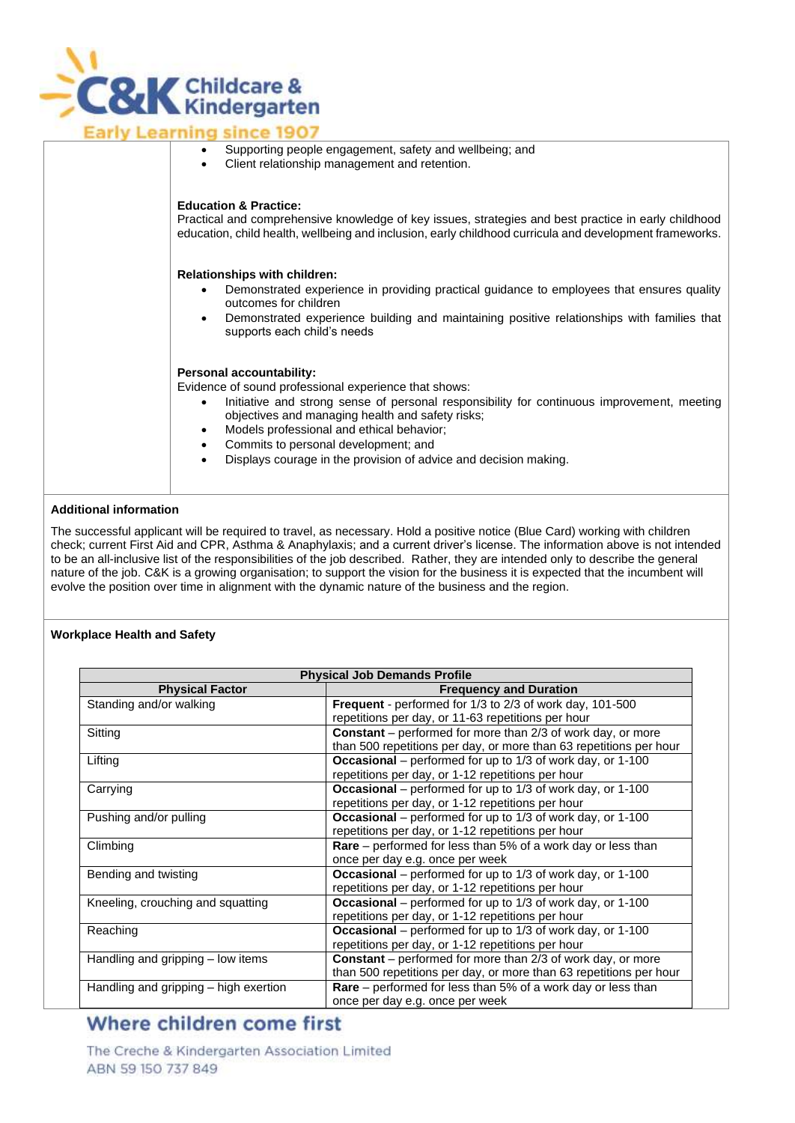

|  | Supporting people engagement, safety and wellbeing; and<br>Client relationship management and retention.                                                                                                                                                                                                                                                                                                             |
|--|----------------------------------------------------------------------------------------------------------------------------------------------------------------------------------------------------------------------------------------------------------------------------------------------------------------------------------------------------------------------------------------------------------------------|
|  | <b>Education &amp; Practice:</b><br>Practical and comprehensive knowledge of key issues, strategies and best practice in early childhood<br>education, child health, wellbeing and inclusion, early childhood curricula and development frameworks.                                                                                                                                                                  |
|  | <b>Relationships with children:</b><br>Demonstrated experience in providing practical guidance to employees that ensures quality<br>outcomes for children<br>Demonstrated experience building and maintaining positive relationships with families that<br>supports each child's needs                                                                                                                               |
|  | <b>Personal accountability:</b><br>Evidence of sound professional experience that shows:<br>Initiative and strong sense of personal responsibility for continuous improvement, meeting<br>$\bullet$<br>objectives and managing health and safety risks;<br>Models professional and ethical behavior;<br>٠<br>Commits to personal development; and<br>Displays courses in the provision of advise and decision making |

• Displays courage in the provision of advice and decision making.

#### **Additional information**

The successful applicant will be required to travel, as necessary. Hold a positive notice (Blue Card) working with children check; current First Aid and CPR, Asthma & Anaphylaxis; and a current driver's license. The information above is not intended to be an all-inclusive list of the responsibilities of the job described. Rather, they are intended only to describe the general nature of the job. C&K is a growing organisation; to support the vision for the business it is expected that the incumbent will evolve the position over time in alignment with the dynamic nature of the business and the region.

#### **Workplace Health and Safety**

| <b>Physical Job Demands Profile</b>   |                                                                       |
|---------------------------------------|-----------------------------------------------------------------------|
| <b>Physical Factor</b>                | <b>Frequency and Duration</b>                                         |
| Standing and/or walking               | Frequent - performed for 1/3 to 2/3 of work day, 101-500              |
|                                       | repetitions per day, or 11-63 repetitions per hour                    |
| Sitting                               | <b>Constant</b> – performed for more than 2/3 of work day, or more    |
|                                       | than 500 repetitions per day, or more than 63 repetitions per hour    |
| Lifting                               | Occasional – performed for up to 1/3 of work day, or 1-100            |
|                                       | repetitions per day, or 1-12 repetitions per hour                     |
| Carrying                              | Occasional – performed for up to 1/3 of work day, or 1-100            |
|                                       | repetitions per day, or 1-12 repetitions per hour                     |
| Pushing and/or pulling                | Occasional – performed for up to 1/3 of work day, or 1-100            |
|                                       | repetitions per day, or 1-12 repetitions per hour                     |
| Climbing                              | <b>Rare</b> – performed for less than 5% of a work day or less than   |
|                                       | once per day e.g. once per week                                       |
| Bending and twisting                  | <b>Occasional</b> – performed for up to 1/3 of work day, or 1-100     |
|                                       | repetitions per day, or 1-12 repetitions per hour                     |
| Kneeling, crouching and squatting     | <b>Occasional</b> – performed for up to $1/3$ of work day, or $1-100$ |
|                                       | repetitions per day, or 1-12 repetitions per hour                     |
| Reaching                              | Occasional – performed for up to 1/3 of work day, or 1-100            |
|                                       | repetitions per day, or 1-12 repetitions per hour                     |
| Handling and gripping – low items     | <b>Constant</b> – performed for more than 2/3 of work day, or more    |
|                                       | than 500 repetitions per day, or more than 63 repetitions per hour    |
| Handling and gripping - high exertion | <b>Rare</b> – performed for less than 5% of a work day or less than   |
|                                       | once per day e.g. once per week                                       |

## Where children come first